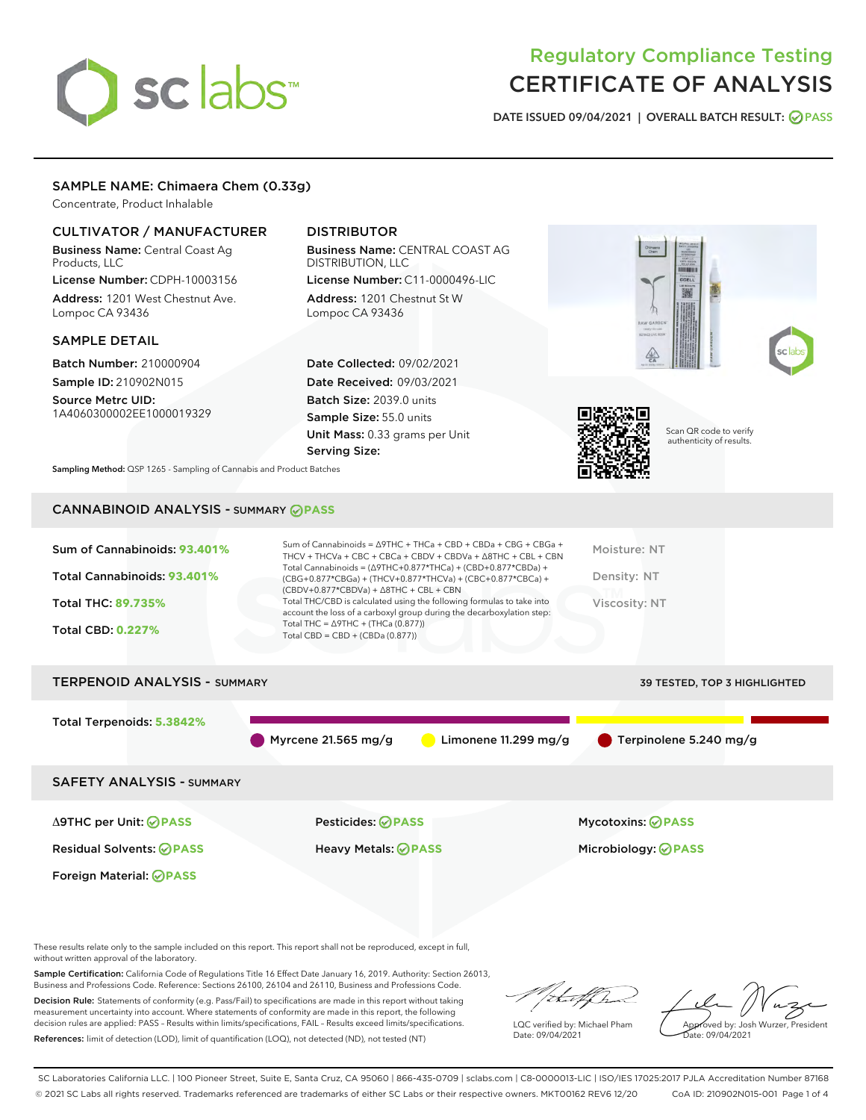# sclabs<sup>\*</sup>

# Regulatory Compliance Testing CERTIFICATE OF ANALYSIS

DATE ISSUED 09/04/2021 | OVERALL BATCH RESULT: @ PASS

# SAMPLE NAME: Chimaera Chem (0.33g)

Concentrate, Product Inhalable

## CULTIVATOR / MANUFACTURER

Business Name: Central Coast Ag Products, LLC License Number: CDPH-10003156

Address: 1201 West Chestnut Ave. Lompoc CA 93436

#### SAMPLE DETAIL

Batch Number: 210000904 Sample ID: 210902N015

Source Metrc UID: 1A4060300002EE1000019329

# DISTRIBUTOR

Business Name: CENTRAL COAST AG DISTRIBUTION, LLC License Number: C11-0000496-LIC

Address: 1201 Chestnut St W Lompoc CA 93436

Date Collected: 09/02/2021 Date Received: 09/03/2021 Batch Size: 2039.0 units Sample Size: 55.0 units Unit Mass: 0.33 grams per Unit Serving Size:





Scan QR code to verify authenticity of results.

Sampling Method: QSP 1265 - Sampling of Cannabis and Product Batches

# CANNABINOID ANALYSIS - SUMMARY **PASS**

| Sum of Cannabinoids: 93.401% | Sum of Cannabinoids = $\triangle$ 9THC + THCa + CBD + CBDa + CBG + CBGa +<br>THCV + THCVa + CBC + CBCa + CBDV + CBDVa + $\Delta$ 8THC + CBL + CBN                                    | Moisture: NT  |
|------------------------------|--------------------------------------------------------------------------------------------------------------------------------------------------------------------------------------|---------------|
| Total Cannabinoids: 93.401%  | Total Cannabinoids = $(\Delta$ 9THC+0.877*THCa) + (CBD+0.877*CBDa) +<br>(CBG+0.877*CBGa) + (THCV+0.877*THCVa) + (CBC+0.877*CBCa) +<br>$(CBDV+0.877*CBDVa) + \Delta 8THC + CBL + CBN$ | Density: NT   |
| Total THC: 89.735%           | Total THC/CBD is calculated using the following formulas to take into<br>account the loss of a carboxyl group during the decarboxylation step:                                       | Viscosity: NT |
| <b>Total CBD: 0.227%</b>     | Total THC = $\triangle$ 9THC + (THCa (0.877))<br>Total CBD = $CBD + (CBDa (0.877))$                                                                                                  |               |
|                              |                                                                                                                                                                                      |               |

# TERPENOID ANALYSIS - SUMMARY 39 TESTED, TOP 3 HIGHLIGHTED Total Terpenoids: **5.3842%** Myrcene 21.565 mg/g  $\bigcirc$  Limonene 11.299 mg/g  $\bigcirc$  Terpinolene 5.240 mg/g SAFETY ANALYSIS - SUMMARY Δ9THC per Unit: **PASS** Pesticides: **PASS** Mycotoxins: **PASS**

Foreign Material: **PASS**

Residual Solvents: **PASS** Heavy Metals: **PASS** Microbiology: **PASS**

These results relate only to the sample included on this report. This report shall not be reproduced, except in full, without written approval of the laboratory.

Sample Certification: California Code of Regulations Title 16 Effect Date January 16, 2019. Authority: Section 26013, Business and Professions Code. Reference: Sections 26100, 26104 and 26110, Business and Professions Code.

Decision Rule: Statements of conformity (e.g. Pass/Fail) to specifications are made in this report without taking measurement uncertainty into account. Where statements of conformity are made in this report, the following decision rules are applied: PASS – Results within limits/specifications, FAIL – Results exceed limits/specifications. References: limit of detection (LOD), limit of quantification (LOQ), not detected (ND), not tested (NT)

that f Tr

LQC verified by: Michael Pham Date: 09/04/2021

Approved by: Josh Wurzer, President Date: 09/04/2021

SC Laboratories California LLC. | 100 Pioneer Street, Suite E, Santa Cruz, CA 95060 | 866-435-0709 | sclabs.com | C8-0000013-LIC | ISO/IES 17025:2017 PJLA Accreditation Number 87168 © 2021 SC Labs all rights reserved. Trademarks referenced are trademarks of either SC Labs or their respective owners. MKT00162 REV6 12/20 CoA ID: 210902N015-001 Page 1 of 4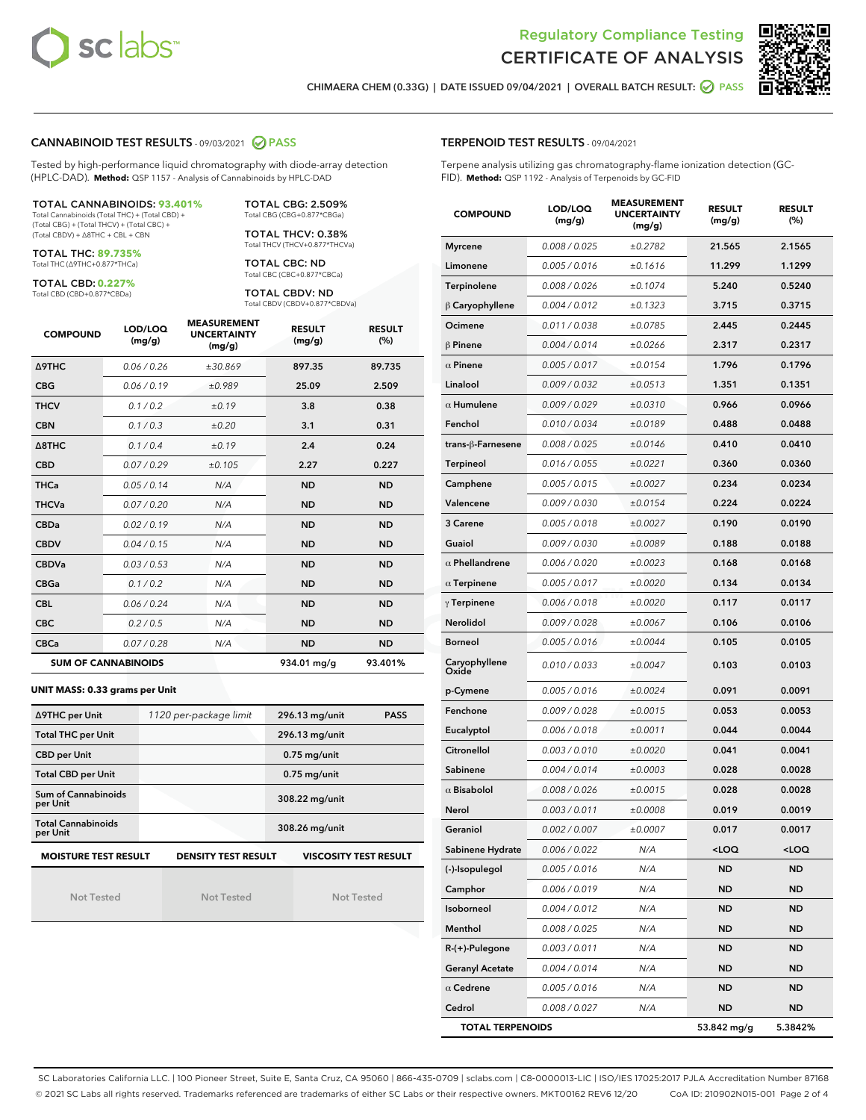



CHIMAERA CHEM (0.33G) | DATE ISSUED 09/04/2021 | OVERALL BATCH RESULT: @ PASS

#### CANNABINOID TEST RESULTS - 09/03/2021 2 PASS

Tested by high-performance liquid chromatography with diode-array detection (HPLC-DAD). **Method:** QSP 1157 - Analysis of Cannabinoids by HPLC-DAD

#### TOTAL CANNABINOIDS: **93.401%**

Total Cannabinoids (Total THC) + (Total CBD) + (Total CBG) + (Total THCV) + (Total CBC) + (Total CBDV) + ∆8THC + CBL + CBN

TOTAL THC: **89.735%** Total THC (∆9THC+0.877\*THCa)

TOTAL CBD: **0.227%**

Total CBD (CBD+0.877\*CBDa)

TOTAL CBG: 2.509% Total CBG (CBG+0.877\*CBGa)

TOTAL THCV: 0.38% Total THCV (THCV+0.877\*THCVa)

TOTAL CBC: ND Total CBC (CBC+0.877\*CBCa)

TOTAL CBDV: ND Total CBDV (CBDV+0.877\*CBDVa)

| <b>COMPOUND</b>  | LOD/LOQ<br>(mg/g)          | <b>MEASUREMENT</b><br><b>UNCERTAINTY</b><br>(mg/g) | <b>RESULT</b><br>(mg/g) | <b>RESULT</b><br>(%) |
|------------------|----------------------------|----------------------------------------------------|-------------------------|----------------------|
| <b>A9THC</b>     | 0.06 / 0.26                | ±30.869                                            | 897.35                  | 89.735               |
| <b>CBG</b>       | 0.06 / 0.19                | ±0.989                                             | 25.09                   | 2.509                |
| <b>THCV</b>      | 0.1/0.2                    | ±0.19                                              | 3.8                     | 0.38                 |
| <b>CBN</b>       | 0.1/0.3                    | ±0.20                                              | 3.1                     | 0.31                 |
| $\triangle$ 8THC | 0.1/0.4                    | ±0.19                                              | 2.4                     | 0.24                 |
| <b>CBD</b>       | 0.07/0.29                  | ±0.105                                             | 2.27                    | 0.227                |
| <b>THCa</b>      | 0.05/0.14                  | N/A                                                | <b>ND</b>               | <b>ND</b>            |
| <b>THCVa</b>     | 0.07/0.20                  | N/A                                                | <b>ND</b>               | <b>ND</b>            |
| <b>CBDa</b>      | 0.02/0.19                  | N/A                                                | <b>ND</b>               | <b>ND</b>            |
| <b>CBDV</b>      | 0.04/0.15                  | N/A                                                | <b>ND</b>               | <b>ND</b>            |
| <b>CBDVa</b>     | 0.03/0.53                  | N/A                                                | <b>ND</b>               | <b>ND</b>            |
| <b>CBGa</b>      | 0.1/0.2                    | N/A                                                | <b>ND</b>               | <b>ND</b>            |
| <b>CBL</b>       | 0.06 / 0.24                | N/A                                                | <b>ND</b>               | <b>ND</b>            |
| <b>CBC</b>       | 0.2 / 0.5                  | N/A                                                | <b>ND</b>               | <b>ND</b>            |
| <b>CBCa</b>      | 0.07/0.28                  | N/A                                                | <b>ND</b>               | <b>ND</b>            |
|                  | <b>SUM OF CANNABINOIDS</b> |                                                    | 934.01 mg/g             | 93.401%              |

#### **UNIT MASS: 0.33 grams per Unit**

| ∆9THC per Unit                                                                            | 1120 per-package limit | 296.13 mg/unit<br><b>PASS</b> |  |  |  |
|-------------------------------------------------------------------------------------------|------------------------|-------------------------------|--|--|--|
| <b>Total THC per Unit</b>                                                                 |                        | 296.13 mg/unit                |  |  |  |
| <b>CBD per Unit</b>                                                                       |                        | $0.75$ mg/unit                |  |  |  |
| <b>Total CBD per Unit</b>                                                                 |                        | $0.75$ mg/unit                |  |  |  |
| Sum of Cannabinoids<br>per Unit                                                           |                        | 308.22 mg/unit                |  |  |  |
| <b>Total Cannabinoids</b><br>per Unit                                                     |                        | 308.26 mg/unit                |  |  |  |
| <b>MOISTURE TEST RESULT</b><br><b>DENSITY TEST RESULT</b><br><b>VISCOSITY TEST RESULT</b> |                        |                               |  |  |  |

Not Tested

Not Tested

Not Tested

#### TERPENOID TEST RESULTS - 09/04/2021

Terpene analysis utilizing gas chromatography-flame ionization detection (GC-FID). **Method:** QSP 1192 - Analysis of Terpenoids by GC-FID

| <b>COMPOUND</b>         | LOD/LOQ<br>(mg/g) | <b>MEASUREMENT</b><br><b>UNCERTAINTY</b><br>(mg/g) | <b>RESULT</b><br>(mg/g)         | <b>RESULT</b><br>(%) |
|-------------------------|-------------------|----------------------------------------------------|---------------------------------|----------------------|
| <b>Myrcene</b>          | 0.008 / 0.025     | ±0.2782                                            | 21.565                          | 2.1565               |
| Limonene                | 0.005 / 0.016     | ±0.1616                                            | 11.299                          | 1.1299               |
| Terpinolene             | 0.008 / 0.026     | ±0.1074                                            | 5.240                           | 0.5240               |
| $\beta$ Caryophyllene   | 0.004 / 0.012     | ±0.1323                                            | 3.715                           | 0.3715               |
| Ocimene                 | 0.011 / 0.038     | ±0.0785                                            | 2.445                           | 0.2445               |
| $\beta$ Pinene          | 0.004 / 0.014     | ±0.0266                                            | 2.317                           | 0.2317               |
| $\alpha$ Pinene         | 0.005 / 0.017     | ±0.0154                                            | 1.796                           | 0.1796               |
| Linalool                | 0.009 / 0.032     | $\pm 0.0513$                                       | 1.351                           | 0.1351               |
| $\alpha$ Humulene       | 0.009 / 0.029     | ±0.0310                                            | 0.966                           | 0.0966               |
| Fenchol                 | 0.010 / 0.034     | ±0.0189                                            | 0.488                           | 0.0488               |
| trans-ß-Farnesene       | 0.008 / 0.025     | ±0.0146                                            | 0.410                           | 0.0410               |
| Terpineol               | 0.016 / 0.055     | ±0.0221                                            | 0.360                           | 0.0360               |
| Camphene                | 0.005 / 0.015     | ±0.0027                                            | 0.234                           | 0.0234               |
| Valencene               | 0.009 / 0.030     | ±0.0154                                            | 0.224                           | 0.0224               |
| 3 Carene                | 0.005 / 0.018     | ±0.0027                                            | 0.190                           | 0.0190               |
| Guaiol                  | 0.009 / 0.030     | ±0.0089                                            | 0.188                           | 0.0188               |
| $\alpha$ Phellandrene   | 0.006 / 0.020     | ±0.0023                                            | 0.168                           | 0.0168               |
| $\alpha$ Terpinene      | 0.005 / 0.017     | ±0.0020                                            | 0.134                           | 0.0134               |
| $\gamma$ Terpinene      | 0.006 / 0.018     | ±0.0020                                            | 0.117                           | 0.0117               |
| Nerolidol               | 0.009 / 0.028     | ±0.0067                                            | 0.106                           | 0.0106               |
| <b>Borneol</b>          | 0.005 / 0.016     | ±0.0044                                            | 0.105                           | 0.0105               |
| Caryophyllene<br>Oxide  | 0.010 / 0.033     | ±0.0047                                            | 0.103                           | 0.0103               |
| p-Cymene                | 0.005 / 0.016     | ±0.0024                                            | 0.091                           | 0.0091               |
| Fenchone                | 0.009 / 0.028     | ±0.0015                                            | 0.053                           | 0.0053               |
| Eucalyptol              | 0.006 / 0.018     | ±0.0011                                            | 0.044                           | 0.0044               |
| Citronellol             | 0.003 / 0.010     | ±0.0020                                            | 0.041                           | 0.0041               |
| Sabinene                | 0.004 / 0.014     | ±0.0003                                            | 0.028                           | 0.0028               |
| $\alpha$ Bisabolol      | 0.008 / 0.026     | ±0.0015                                            | 0.028                           | 0.0028               |
| Nerol                   | 0.003 / 0.011     | ±0.0008                                            | 0.019                           | 0.0019               |
| Geraniol                | 0.002 / 0.007     | ±0.0007                                            | 0.017                           | 0.0017               |
| Sabinene Hydrate        | 0.006 / 0.022     | N/A                                                | <loq< th=""><th>100</th></loq<> | 100                  |
| (-)-Isopulegol          | 0.005 / 0.016     | N/A                                                | ND                              | ND                   |
| Camphor                 | 0.006 / 0.019     | N/A                                                | ND                              | ND                   |
| Isoborneol              | 0.004 / 0.012     | N/A                                                | ND                              | ND                   |
| Menthol                 | 0.008 / 0.025     | N/A                                                | ND                              | ND                   |
| $R-(+)$ -Pulegone       | 0.003 / 0.011     | N/A                                                | ND                              | ND                   |
| <b>Geranyl Acetate</b>  | 0.004 / 0.014     | N/A                                                | ND                              | ND                   |
| $\alpha$ Cedrene        | 0.005 / 0.016     | N/A                                                | ND                              | ND                   |
| Cedrol                  | 0.008 / 0.027     | N/A                                                | ND                              | ND                   |
| <b>TOTAL TERPENOIDS</b> |                   |                                                    | 53.842 mg/g                     | 5.3842%              |

SC Laboratories California LLC. | 100 Pioneer Street, Suite E, Santa Cruz, CA 95060 | 866-435-0709 | sclabs.com | C8-0000013-LIC | ISO/IES 17025:2017 PJLA Accreditation Number 87168 © 2021 SC Labs all rights reserved. Trademarks referenced are trademarks of either SC Labs or their respective owners. MKT00162 REV6 12/20 CoA ID: 210902N015-001 Page 2 of 4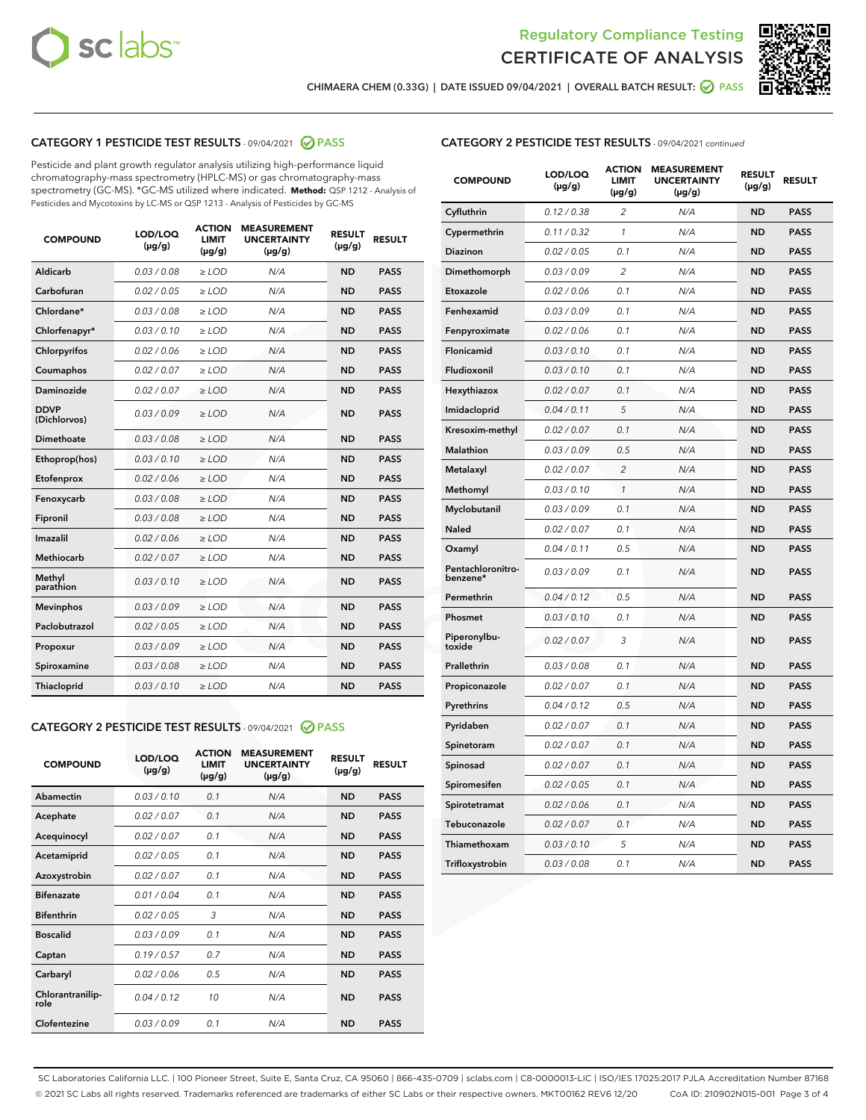



CHIMAERA CHEM (0.33G) | DATE ISSUED 09/04/2021 | OVERALL BATCH RESULT: ☑ PASS

## CATEGORY 1 PESTICIDE TEST RESULTS - 09/04/2021 2 PASS

Pesticide and plant growth regulator analysis utilizing high-performance liquid chromatography-mass spectrometry (HPLC-MS) or gas chromatography-mass spectrometry (GC-MS). \*GC-MS utilized where indicated. **Method:** QSP 1212 - Analysis of Pesticides and Mycotoxins by LC-MS or QSP 1213 - Analysis of Pesticides by GC-MS

| <b>COMPOUND</b>             | LOD/LOQ<br>$(\mu g/g)$ | <b>ACTION</b><br>LIMIT<br>$(\mu g/g)$ | <b>MEASUREMENT</b><br><b>UNCERTAINTY</b><br>$(\mu g/g)$ | <b>RESULT</b><br>$(\mu g/g)$ | <b>RESULT</b> |
|-----------------------------|------------------------|---------------------------------------|---------------------------------------------------------|------------------------------|---------------|
| Aldicarb                    | 0.03/0.08              | $\ge$ LOD                             | N/A                                                     | <b>ND</b>                    | <b>PASS</b>   |
| Carbofuran                  | 0.02 / 0.05            | $>$ LOD                               | N/A                                                     | <b>ND</b>                    | <b>PASS</b>   |
| Chlordane*                  | 0.03 / 0.08            | $\ge$ LOD                             | N/A                                                     | <b>ND</b>                    | <b>PASS</b>   |
| Chlorfenapyr*               | 0.03/0.10              | $\ge$ LOD                             | N/A                                                     | <b>ND</b>                    | <b>PASS</b>   |
| Chlorpyrifos                | 0.02 / 0.06            | $\ge$ LOD                             | N/A                                                     | <b>ND</b>                    | <b>PASS</b>   |
| Coumaphos                   | 0.02 / 0.07            | $\ge$ LOD                             | N/A                                                     | <b>ND</b>                    | <b>PASS</b>   |
| Daminozide                  | 0.02/0.07              | $>$ LOD                               | N/A                                                     | <b>ND</b>                    | <b>PASS</b>   |
| <b>DDVP</b><br>(Dichlorvos) | 0.03/0.09              | $\geq$ LOD                            | N/A                                                     | <b>ND</b>                    | <b>PASS</b>   |
| <b>Dimethoate</b>           | 0.03 / 0.08            | $\ge$ LOD                             | N/A                                                     | <b>ND</b>                    | <b>PASS</b>   |
| Ethoprop(hos)               | 0.03/0.10              | $\geq$ LOD                            | N/A                                                     | <b>ND</b>                    | <b>PASS</b>   |
| Etofenprox                  | 0.02/0.06              | $>$ LOD                               | N/A                                                     | <b>ND</b>                    | <b>PASS</b>   |
| Fenoxycarb                  | 0.03 / 0.08            | $\ge$ LOD                             | N/A                                                     | <b>ND</b>                    | <b>PASS</b>   |
| Fipronil                    | 0.03 / 0.08            | $\ge$ LOD                             | N/A                                                     | <b>ND</b>                    | <b>PASS</b>   |
| Imazalil                    | 0.02 / 0.06            | $\geq$ LOD                            | N/A                                                     | <b>ND</b>                    | <b>PASS</b>   |
| Methiocarb                  | 0.02 / 0.07            | $\ge$ LOD                             | N/A                                                     | <b>ND</b>                    | <b>PASS</b>   |
| Methyl<br>parathion         | 0.03/0.10              | $\geq$ LOD                            | N/A                                                     | <b>ND</b>                    | <b>PASS</b>   |
| <b>Mevinphos</b>            | 0.03/0.09              | $>$ LOD                               | N/A                                                     | <b>ND</b>                    | <b>PASS</b>   |
| Paclobutrazol               | 0.02 / 0.05            | $\ge$ LOD                             | N/A                                                     | <b>ND</b>                    | <b>PASS</b>   |
| Propoxur                    | 0.03/0.09              | $\ge$ LOD                             | N/A                                                     | <b>ND</b>                    | <b>PASS</b>   |
| Spiroxamine                 | 0.03 / 0.08            | $\ge$ LOD                             | N/A                                                     | <b>ND</b>                    | <b>PASS</b>   |
| Thiacloprid                 | 0.03/0.10              | $\geq$ LOD                            | N/A                                                     | <b>ND</b>                    | <b>PASS</b>   |
|                             |                        |                                       |                                                         |                              |               |

#### CATEGORY 2 PESTICIDE TEST RESULTS - 09/04/2021 @ PASS

| <b>COMPOUND</b>          | LOD/LOQ<br>$(\mu g/g)$ | <b>ACTION</b><br>LIMIT<br>$(\mu g/g)$ | <b>MEASUREMENT</b><br><b>UNCERTAINTY</b><br>$(\mu g/g)$ | <b>RESULT</b><br>$(\mu g/g)$ | <b>RESULT</b> |
|--------------------------|------------------------|---------------------------------------|---------------------------------------------------------|------------------------------|---------------|
| Abamectin                | 0.03/0.10              | 0.1                                   | N/A                                                     | <b>ND</b>                    | <b>PASS</b>   |
| Acephate                 | 0.02/0.07              | 0.1                                   | N/A                                                     | <b>ND</b>                    | <b>PASS</b>   |
| Acequinocyl              | 0.02/0.07              | 0.1                                   | N/A                                                     | <b>ND</b>                    | <b>PASS</b>   |
| Acetamiprid              | 0.02/0.05              | 0.1                                   | N/A                                                     | <b>ND</b>                    | <b>PASS</b>   |
| Azoxystrobin             | 0.02/0.07              | 0.1                                   | N/A                                                     | <b>ND</b>                    | <b>PASS</b>   |
| <b>Bifenazate</b>        | 0.01/0.04              | 0.1                                   | N/A                                                     | <b>ND</b>                    | <b>PASS</b>   |
| <b>Bifenthrin</b>        | 0.02 / 0.05            | 3                                     | N/A                                                     | <b>ND</b>                    | <b>PASS</b>   |
| <b>Boscalid</b>          | 0.03/0.09              | 0.1                                   | N/A                                                     | <b>ND</b>                    | <b>PASS</b>   |
| Captan                   | 0.19/0.57              | 0.7                                   | N/A                                                     | <b>ND</b>                    | <b>PASS</b>   |
| Carbaryl                 | 0.02/0.06              | 0.5                                   | N/A                                                     | <b>ND</b>                    | <b>PASS</b>   |
| Chlorantranilip-<br>role | 0.04/0.12              | 10                                    | N/A                                                     | <b>ND</b>                    | <b>PASS</b>   |
| Clofentezine             | 0.03/0.09              | 0.1                                   | N/A                                                     | <b>ND</b>                    | <b>PASS</b>   |

| <b>CATEGORY 2 PESTICIDE TEST RESULTS</b> - 09/04/2021 continued |  |  |  |
|-----------------------------------------------------------------|--|--|--|
|                                                                 |  |  |  |

| <b>COMPOUND</b>               | LOD/LOQ<br>(µg/g) | <b>ACTION</b><br>LIMIT<br>(µg/g) | <b>MEASUREMENT</b><br><b>UNCERTAINTY</b><br>(µg/g) | <b>RESULT</b><br>(µg/g) | <b>RESULT</b> |
|-------------------------------|-------------------|----------------------------------|----------------------------------------------------|-------------------------|---------------|
| Cyfluthrin                    | 0.12 / 0.38       | $\overline{c}$                   | N/A                                                | <b>ND</b>               | <b>PASS</b>   |
| Cypermethrin                  | 0.11/0.32         | 1                                | N/A                                                | <b>ND</b>               | <b>PASS</b>   |
| <b>Diazinon</b>               | 0.02 / 0.05       | 0.1                              | N/A                                                | <b>ND</b>               | <b>PASS</b>   |
| Dimethomorph                  | 0.03 / 0.09       | 2                                | N/A                                                | <b>ND</b>               | <b>PASS</b>   |
| Etoxazole                     | 0.02 / 0.06       | 0.1                              | N/A                                                | <b>ND</b>               | <b>PASS</b>   |
| Fenhexamid                    | 0.03 / 0.09       | 0.1                              | N/A                                                | <b>ND</b>               | <b>PASS</b>   |
| Fenpyroximate                 | 0.02 / 0.06       | 0.1                              | N/A                                                | <b>ND</b>               | <b>PASS</b>   |
| Flonicamid                    | 0.03 / 0.10       | 0.1                              | N/A                                                | <b>ND</b>               | <b>PASS</b>   |
| Fludioxonil                   | 0.03/0.10         | 0.1                              | N/A                                                | <b>ND</b>               | <b>PASS</b>   |
| Hexythiazox                   | 0.02 / 0.07       | 0.1                              | N/A                                                | <b>ND</b>               | <b>PASS</b>   |
| Imidacloprid                  | 0.04 / 0.11       | 5                                | N/A                                                | <b>ND</b>               | <b>PASS</b>   |
| Kresoxim-methyl               | 0.02 / 0.07       | 0.1                              | N/A                                                | <b>ND</b>               | <b>PASS</b>   |
| <b>Malathion</b>              | 0.03 / 0.09       | 0.5                              | N/A                                                | <b>ND</b>               | <b>PASS</b>   |
| Metalaxyl                     | 0.02 / 0.07       | $\overline{c}$                   | N/A                                                | <b>ND</b>               | <b>PASS</b>   |
| Methomyl                      | 0.03 / 0.10       | 1                                | N/A                                                | <b>ND</b>               | <b>PASS</b>   |
| Myclobutanil                  | 0.03/0.09         | 0.1                              | N/A                                                | <b>ND</b>               | <b>PASS</b>   |
| Naled                         | 0.02 / 0.07       | 0.1                              | N/A                                                | <b>ND</b>               | <b>PASS</b>   |
| Oxamyl                        | 0.04 / 0.11       | 0.5                              | N/A                                                | <b>ND</b>               | <b>PASS</b>   |
| Pentachloronitro-<br>benzene* | 0.03/0.09         | 0.1                              | N/A                                                | <b>ND</b>               | <b>PASS</b>   |
| Permethrin                    | 0.04 / 0.12       | 0.5                              | N/A                                                | <b>ND</b>               | <b>PASS</b>   |
| Phosmet                       | 0.03 / 0.10       | 0.1                              | N/A                                                | <b>ND</b>               | <b>PASS</b>   |
| Piperonylbu-<br>toxide        | 0.02 / 0.07       | 3                                | N/A                                                | <b>ND</b>               | <b>PASS</b>   |
| Prallethrin                   | 0.03 / 0.08       | 0.1                              | N/A                                                | <b>ND</b>               | <b>PASS</b>   |
| Propiconazole                 | 0.02 / 0.07       | 0.1                              | N/A                                                | <b>ND</b>               | <b>PASS</b>   |
| Pyrethrins                    | 0.04 / 0.12       | 0.5                              | N/A                                                | <b>ND</b>               | <b>PASS</b>   |
| Pyridaben                     | 0.02 / 0.07       | 0.1                              | N/A                                                | <b>ND</b>               | <b>PASS</b>   |
| Spinetoram                    | 0.02 / 0.07       | 0.1                              | N/A                                                | <b>ND</b>               | <b>PASS</b>   |
| Spinosad                      | 0.02 / 0.07       | 0.1                              | N/A                                                | <b>ND</b>               | <b>PASS</b>   |
| Spiromesifen                  | 0.02 / 0.05       | 0.1                              | N/A                                                | <b>ND</b>               | <b>PASS</b>   |
| Spirotetramat                 | 0.02 / 0.06       | 0.1                              | N/A                                                | <b>ND</b>               | <b>PASS</b>   |
| Tebuconazole                  | 0.02 / 0.07       | 0.1                              | N/A                                                | <b>ND</b>               | <b>PASS</b>   |
| Thiamethoxam                  | 0.03 / 0.10       | 5                                | N/A                                                | <b>ND</b>               | <b>PASS</b>   |
| Trifloxystrobin               | 0.03 / 0.08       | 0.1                              | N/A                                                | <b>ND</b>               | <b>PASS</b>   |

SC Laboratories California LLC. | 100 Pioneer Street, Suite E, Santa Cruz, CA 95060 | 866-435-0709 | sclabs.com | C8-0000013-LIC | ISO/IES 17025:2017 PJLA Accreditation Number 87168 © 2021 SC Labs all rights reserved. Trademarks referenced are trademarks of either SC Labs or their respective owners. MKT00162 REV6 12/20 CoA ID: 210902N015-001 Page 3 of 4